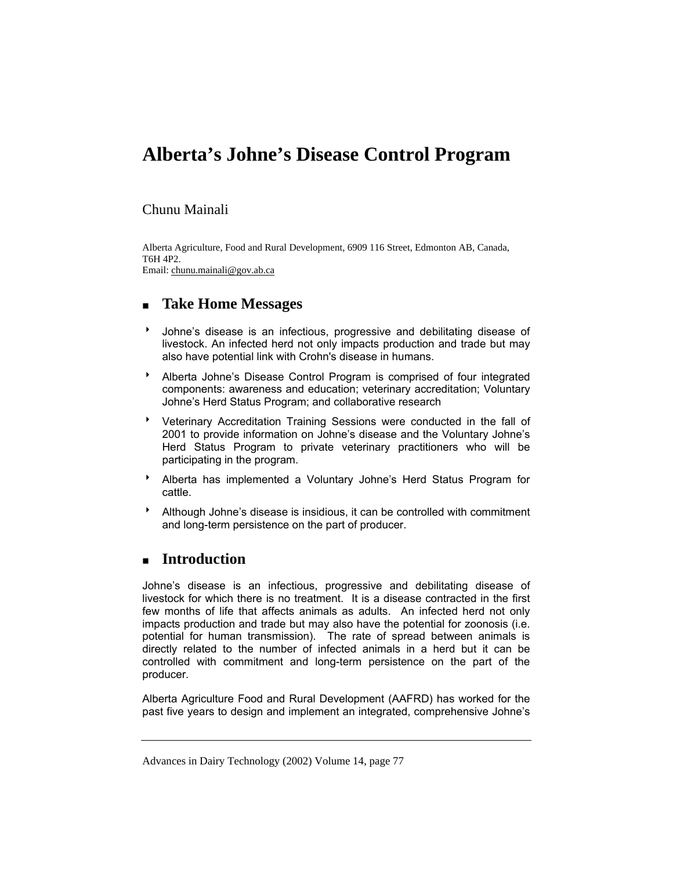# **Alberta's Johne's Disease Control Program**

#### Chunu Mainali

Alberta Agriculture, Food and Rural Development, 6909 116 Street, Edmonton AB, Canada, T6H 4P2. Email: chunu.mainali@gov.ab.ca

# **Take Home Messages**

- Johne's disease is an infectious, progressive and debilitating disease of livestock. An infected herd not only impacts production and trade but may also have potential link with Crohn's disease in humans.
- **Alberta Johne's Disease Control Program is comprised of four integrated** components: awareness and education; veterinary accreditation; Voluntary Johne's Herd Status Program; and collaborative research
- Veterinary Accreditation Training Sessions were conducted in the fall of 2001 to provide information on Johne's disease and the Voluntary Johne's Herd Status Program to private veterinary practitioners who will be participating in the program.
- **Alberta has implemented a Voluntary Johne's Herd Status Program for** cattle.
- \* Although Johne's disease is insidious, it can be controlled with commitment and long-term persistence on the part of producer.

## **Introduction**

Johne's disease is an infectious, progressive and debilitating disease of livestock for which there is no treatment. It is a disease contracted in the first few months of life that affects animals as adults. An infected herd not only impacts production and trade but may also have the potential for zoonosis (i.e. potential for human transmission). The rate of spread between animals is directly related to the number of infected animals in a herd but it can be controlled with commitment and long-term persistence on the part of the producer.

Alberta Agriculture Food and Rural Development (AAFRD) has worked for the past five years to design and implement an integrated, comprehensive Johne's

Advances in Dairy Technology (2002) Volume 14, page 77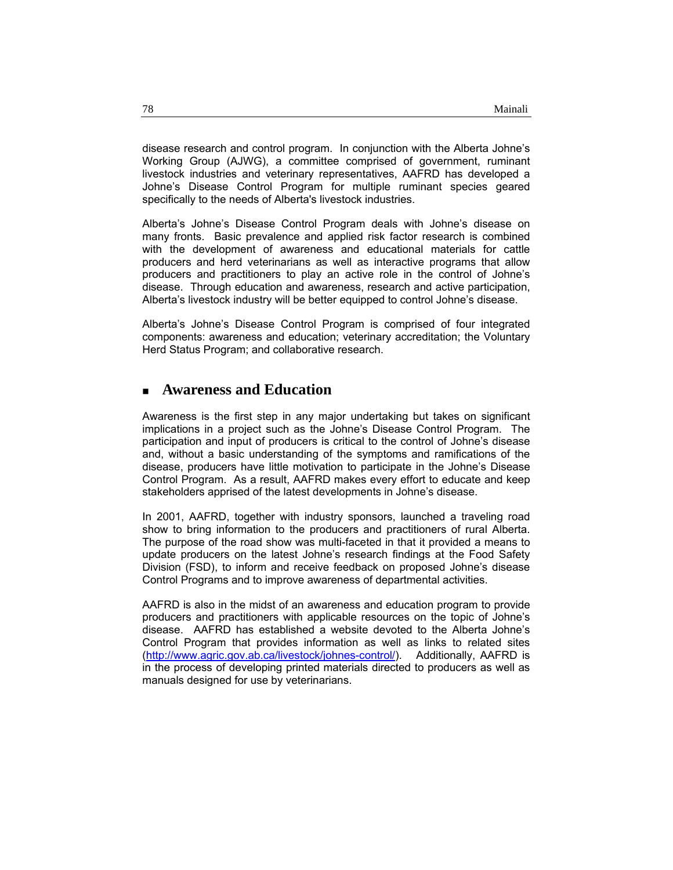disease research and control program. In conjunction with the Alberta Johne's Working Group (AJWG), a committee comprised of government, ruminant livestock industries and veterinary representatives, AAFRD has developed a Johne's Disease Control Program for multiple ruminant species geared specifically to the needs of Alberta's livestock industries.

Alberta's Johne's Disease Control Program deals with Johne's disease on many fronts. Basic prevalence and applied risk factor research is combined with the development of awareness and educational materials for cattle producers and herd veterinarians as well as interactive programs that allow producers and practitioners to play an active role in the control of Johne's disease. Through education and awareness, research and active participation, Alberta's livestock industry will be better equipped to control Johne's disease.

Alberta's Johne's Disease Control Program is comprised of four integrated components: awareness and education; veterinary accreditation; the Voluntary Herd Status Program; and collaborative research.

#### **Awareness and Education**

Awareness is the first step in any major undertaking but takes on significant implications in a project such as the Johne's Disease Control Program. The participation and input of producers is critical to the control of Johne's disease and, without a basic understanding of the symptoms and ramifications of the disease, producers have little motivation to participate in the Johne's Disease Control Program. As a result, AAFRD makes every effort to educate and keep stakeholders apprised of the latest developments in Johne's disease.

In 2001, AAFRD, together with industry sponsors, launched a traveling road show to bring information to the producers and practitioners of rural Alberta. The purpose of the road show was multi-faceted in that it provided a means to update producers on the latest Johne's research findings at the Food Safety Division (FSD), to inform and receive feedback on proposed Johne's disease Control Programs and to improve awareness of departmental activities.

AAFRD is also in the midst of an awareness and education program to provide producers and practitioners with applicable resources on the topic of Johne's disease. AAFRD has established a website devoted to the Alberta Johne's Control Program that provides information as well as links to related sites (http://www.agric.gov.ab.ca/livestock/johnes-control/). Additionally, AAFRD is in the process of developing printed materials directed to producers as well as manuals designed for use by veterinarians.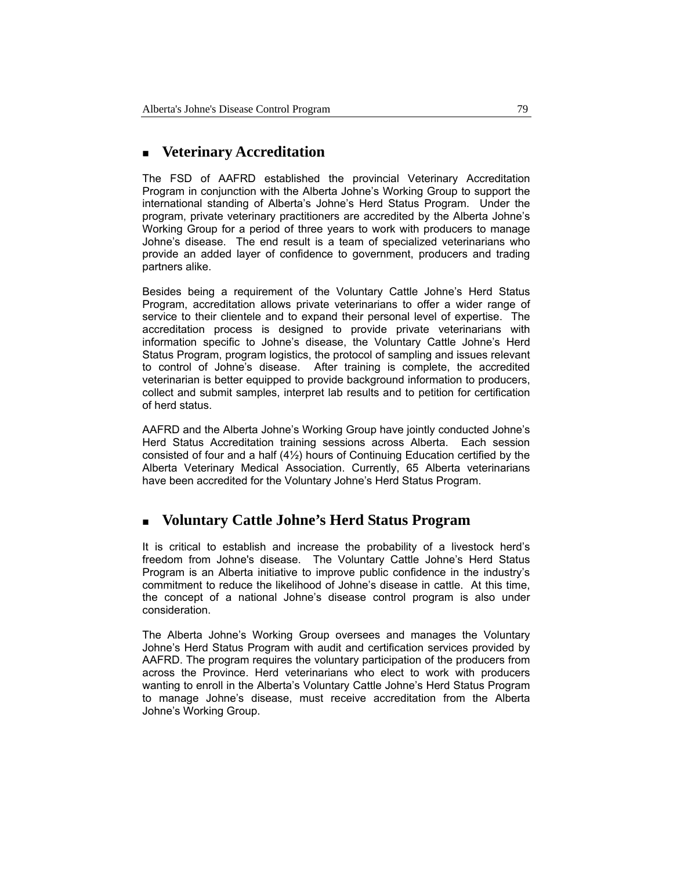# **Veterinary Accreditation**

The FSD of AAFRD established the provincial Veterinary Accreditation Program in conjunction with the Alberta Johne's Working Group to support the international standing of Alberta's Johne's Herd Status Program. Under the program, private veterinary practitioners are accredited by the Alberta Johne's Working Group for a period of three years to work with producers to manage Johne's disease. The end result is a team of specialized veterinarians who provide an added layer of confidence to government, producers and trading partners alike.

Besides being a requirement of the Voluntary Cattle Johne's Herd Status Program, accreditation allows private veterinarians to offer a wider range of service to their clientele and to expand their personal level of expertise. The accreditation process is designed to provide private veterinarians with information specific to Johne's disease, the Voluntary Cattle Johne's Herd Status Program, program logistics, the protocol of sampling and issues relevant to control of Johne's disease. After training is complete, the accredited veterinarian is better equipped to provide background information to producers, collect and submit samples, interpret lab results and to petition for certification of herd status.

AAFRD and the Alberta Johne's Working Group have jointly conducted Johne's Herd Status Accreditation training sessions across Alberta. Each session consisted of four and a half  $(4<sup>1</sup>/<sub>2</sub>)$  hours of Continuing Education certified by the Alberta Veterinary Medical Association. Currently, 65 Alberta veterinarians have been accredited for the Voluntary Johne's Herd Status Program.

## **Voluntary Cattle Johne's Herd Status Program**

It is critical to establish and increase the probability of a livestock herd's freedom from Johne's disease. The Voluntary Cattle Johne's Herd Status Program is an Alberta initiative to improve public confidence in the industry's commitment to reduce the likelihood of Johne's disease in cattle. At this time, the concept of a national Johne's disease control program is also under consideration.

The Alberta Johne's Working Group oversees and manages the Voluntary Johne's Herd Status Program with audit and certification services provided by AAFRD. The program requires the voluntary participation of the producers from across the Province. Herd veterinarians who elect to work with producers wanting to enroll in the Alberta's Voluntary Cattle Johne's Herd Status Program to manage Johne's disease, must receive accreditation from the Alberta Johne's Working Group.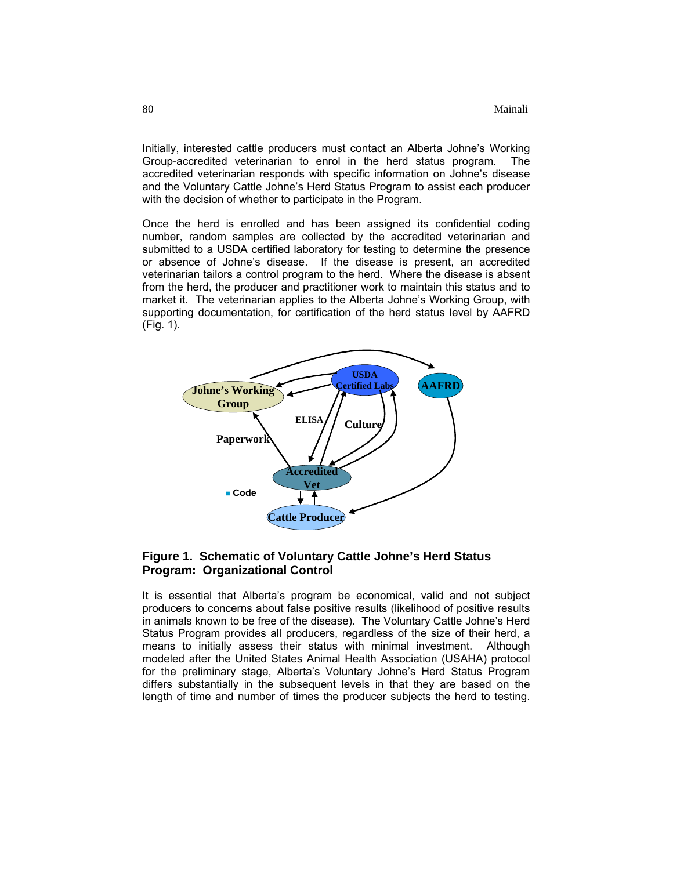Initially, interested cattle producers must contact an Alberta Johne's Working Group-accredited veterinarian to enrol in the herd status program. The accredited veterinarian responds with specific information on Johne's disease and the Voluntary Cattle Johne's Herd Status Program to assist each producer with the decision of whether to participate in the Program.

Once the herd is enrolled and has been assigned its confidential coding number, random samples are collected by the accredited veterinarian and submitted to a USDA certified laboratory for testing to determine the presence or absence of Johne's disease. If the disease is present, an accredited veterinarian tailors a control program to the herd. Where the disease is absent from the herd, the producer and practitioner work to maintain this status and to market it. The veterinarian applies to the Alberta Johne's Working Group, with supporting documentation, for certification of the herd status level by AAFRD (Fig. 1).



#### **Figure 1. Schematic of Voluntary Cattle Johne's Herd Status Program: Organizational Control**

It is essential that Alberta's program be economical, valid and not subject producers to concerns about false positive results (likelihood of positive results in animals known to be free of the disease). The Voluntary Cattle Johne's Herd Status Program provides all producers, regardless of the size of their herd, a means to initially assess their status with minimal investment. Although modeled after the United States Animal Health Association (USAHA) protocol for the preliminary stage, Alberta's Voluntary Johne's Herd Status Program differs substantially in the subsequent levels in that they are based on the length of time and number of times the producer subjects the herd to testing.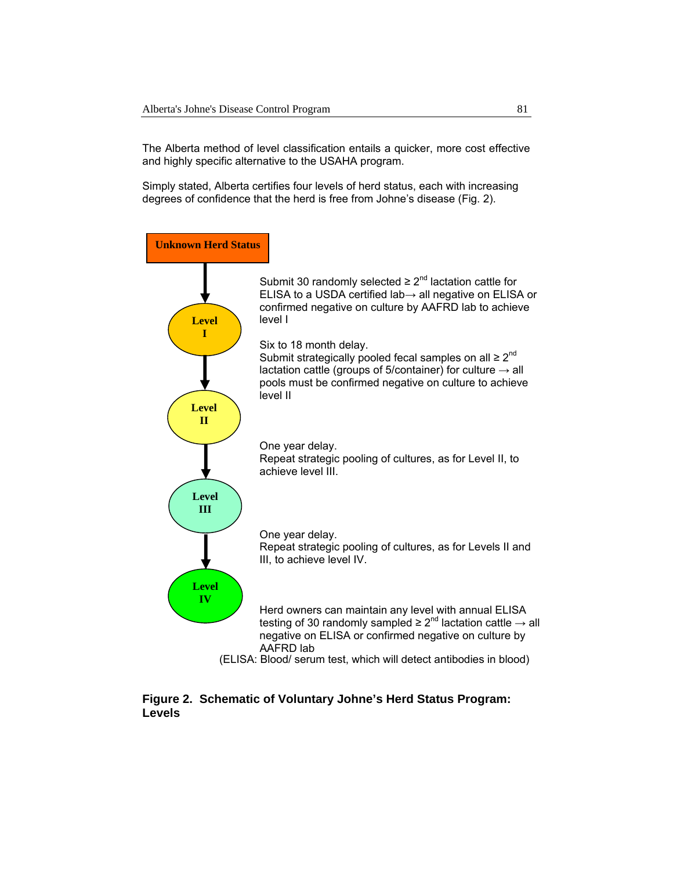The Alberta method of level classification entails a quicker, more cost effective and highly specific alternative to the USAHA program.

Simply stated, Alberta certifies four levels of herd status, each with increasing degrees of confidence that the herd is free from Johne's disease (Fig. 2).



#### **Figure 2. Schematic of Voluntary Johne's Herd Status Program: Levels**